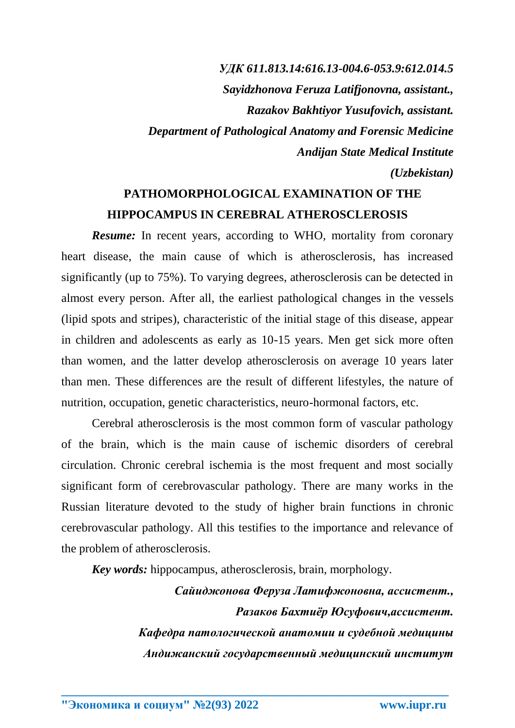*УДК 611.813.14:616.13-004.6-053.9:612.014.5 Sayidzhonova Feruza Latifjonovna, assistant., Razakov Bakhtiyor Yusufovich, assistant. Department of Pathological Anatomy and Forensic Medicine Andijan State Medical Institute (Uzbekistan)*

## **PATHOMORPHOLOGICAL EXAMINATION OF THE HIPPOCAMPUS IN CEREBRAL ATHEROSCLEROSIS**

*Resume:* In recent years, according to WHO, mortality from coronary heart disease, the main cause of which is atherosclerosis, has increased significantly (up to 75%). To varying degrees, atherosclerosis can be detected in almost every person. After all, the earliest pathological changes in the vessels (lipid spots and stripes), characteristic of the initial stage of this disease, appear in children and adolescents as early as 10-15 years. Men get sick more often than women, and the latter develop atherosclerosis on average 10 years later than men. These differences are the result of different lifestyles, the nature of nutrition, occupation, genetic characteristics, neuro-hormonal factors, etc.

Cerebral atherosclerosis is the most common form of vascular pathology of the brain, which is the main cause of ischemic disorders of cerebral circulation. Chronic cerebral ischemia is the most frequent and most socially significant form of cerebrovascular pathology. There are many works in the Russian literature devoted to the study of higher brain functions in chronic cerebrovascular pathology. All this testifies to the importance and relevance of the problem of atherosclerosis.

*Key words:* hippocampus, atherosclerosis, brain, morphology.

**\_\_\_\_\_\_\_\_\_\_\_\_\_\_\_\_\_\_\_\_\_\_\_\_\_\_\_\_\_\_\_\_\_\_\_\_\_\_\_\_\_\_\_\_\_\_\_\_\_\_\_\_\_\_\_\_\_\_\_\_\_\_\_\_**

*Сайиджонова Феруза Латифжоновна, ассистент., Разаков Бахтиёр Юсуфович,ассистент. Кафедра патологической анатомии и судебной медицины Андижанский государственный медицинский институт*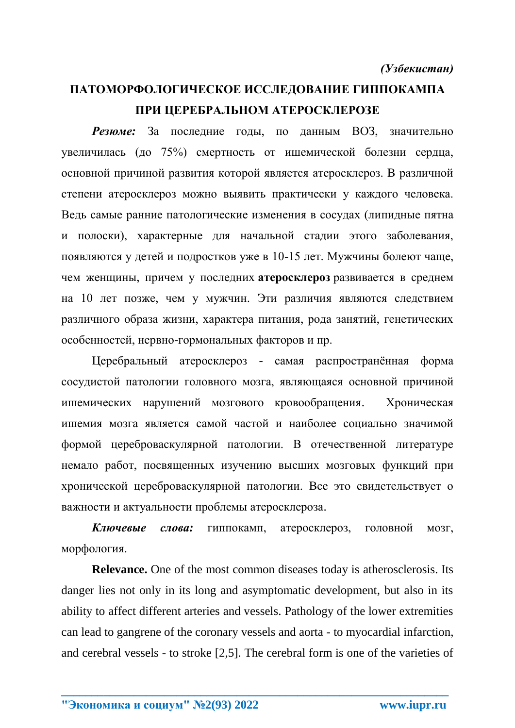## **ПАТОМОРФОЛОГИЧЕСКОЕ ИССЛЕДОВАНИЕ ГИППОКАМПА ПРИ ЦЕРЕБРАЛЬНОМ АТЕРОСКЛЕРОЗЕ**

*Резюме:* За последние годы, по данным ВОЗ, значительно увеличилась (до 75%) смертность от ишемической болезни сердца, основной причиной развития которой является атеросклероз. В различной степени атеросклероз можно выявить практически у каждого человека. Ведь самые ранние патологические изменения в сосудах (липидные пятна и полоски), характерные для начальной стадии этого заболевания, появляются у детей и подростков уже в 10-15 лет. Мужчины болеют чаще, чем женщины, причем у последних **атеросклероз** развивается в среднем на 10 лет позже, чем у мужчин. Эти различия являются следствием различного образа жизни, характера питания, рода занятий, генетических особенностей, нервно-гормональных факторов и пр.

Церебральный атеросклероз - самая распространённая форма сосудистой патологии головного мозга, являющаяся основной причиной ишемических нарушений мозгового кровообращения. Хроническая ишемия мозга является самой частой и наиболее социально значимой формой цереброваскулярной патологии. В отечественной литературе немало работ, посвященных изучению высших мозговых функций при хронической цереброваскулярной патологии. Все это свидетельствует о важности и актуальности проблемы атеросклероза.

*Ключевые слова:* гиппокамп, атеросклероз, головной мозг, морфология.

**Relevance.** One of the most common diseases today is atherosclerosis. Its danger lies not only in its long and asymptomatic development, but also in its ability to affect different arteries and vessels. Pathology of the lower extremities can lead to gangrene of the coronary vessels and aorta - to myocardial infarction, and cerebral vessels - to stroke [2,5]. The cerebral form is one of the varieties of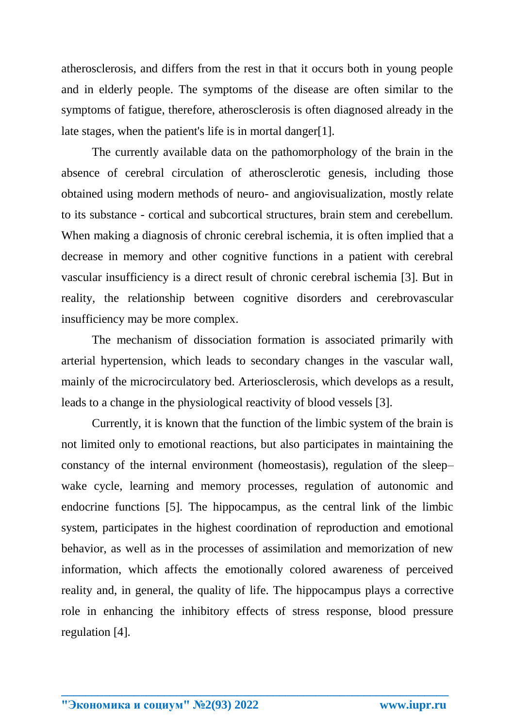atherosclerosis, and differs from the rest in that it occurs both in young people and in elderly people. The symptoms of the disease are often similar to the symptoms of fatigue, therefore, atherosclerosis is often diagnosed already in the late stages, when the patient's life is in mortal danger[1].

The currently available data on the pathomorphology of the brain in the absence of cerebral circulation of atherosclerotic genesis, including those obtained using modern methods of neuro- and angiovisualization, mostly relate to its substance - cortical and subcortical structures, brain stem and cerebellum. When making a diagnosis of chronic cerebral ischemia, it is often implied that a decrease in memory and other cognitive functions in a patient with cerebral vascular insufficiency is a direct result of chronic cerebral ischemia [3]. But in reality, the relationship between cognitive disorders and cerebrovascular insufficiency may be more complex.

The mechanism of dissociation formation is associated primarily with arterial hypertension, which leads to secondary changes in the vascular wall, mainly of the microcirculatory bed. Arteriosclerosis, which develops as a result, leads to a change in the physiological reactivity of blood vessels [3].

Currently, it is known that the function of the limbic system of the brain is not limited only to emotional reactions, but also participates in maintaining the constancy of the internal environment (homeostasis), regulation of the sleep– wake cycle, learning and memory processes, regulation of autonomic and endocrine functions [5]. The hippocampus, as the central link of the limbic system, participates in the highest coordination of reproduction and emotional behavior, as well as in the processes of assimilation and memorization of new information, which affects the emotionally colored awareness of perceived reality and, in general, the quality of life. The hippocampus plays a corrective role in enhancing the inhibitory effects of stress response, blood pressure regulation [4].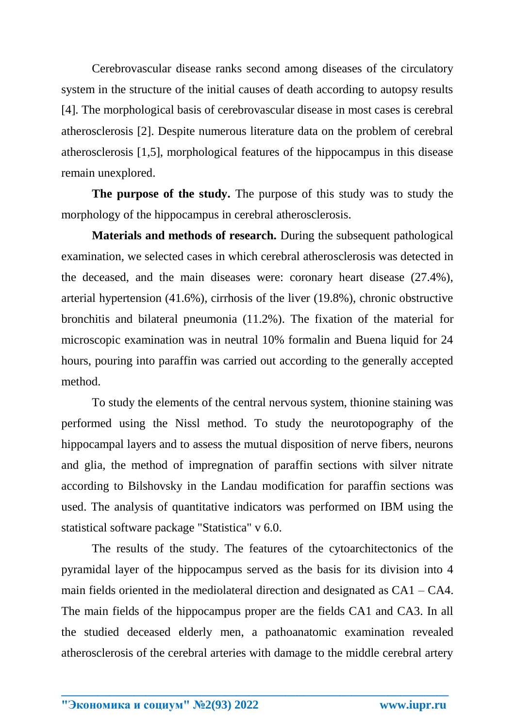Cerebrovascular disease ranks second among diseases of the circulatory system in the structure of the initial causes of death according to autopsy results [4]. The morphological basis of cerebrovascular disease in most cases is cerebral atherosclerosis [2]. Despite numerous literature data on the problem of cerebral atherosclerosis [1,5], morphological features of the hippocampus in this disease remain unexplored.

**The purpose of the study.** The purpose of this study was to study the morphology of the hippocampus in cerebral atherosclerosis.

**Materials and methods of research.** During the subsequent pathological examination, we selected cases in which cerebral atherosclerosis was detected in the deceased, and the main diseases were: coronary heart disease (27.4%), arterial hypertension (41.6%), cirrhosis of the liver (19.8%), chronic obstructive bronchitis and bilateral pneumonia (11.2%). The fixation of the material for microscopic examination was in neutral 10% formalin and Buena liquid for 24 hours, pouring into paraffin was carried out according to the generally accepted method.

To study the elements of the central nervous system, thionine staining was performed using the Nissl method. To study the neurotopography of the hippocampal layers and to assess the mutual disposition of nerve fibers, neurons and glia, the method of impregnation of paraffin sections with silver nitrate according to Bilshovsky in the Landau modification for paraffin sections was used. The analysis of quantitative indicators was performed on IBM using the statistical software package "Statistica" v 6.0.

The results of the study. The features of the cytoarchitectonics of the pyramidal layer of the hippocampus served as the basis for its division into 4 main fields oriented in the mediolateral direction and designated as CA1 – CA4. The main fields of the hippocampus proper are the fields CA1 and CA3. In all the studied deceased elderly men, a pathoanatomic examination revealed atherosclerosis of the cerebral arteries with damage to the middle cerebral artery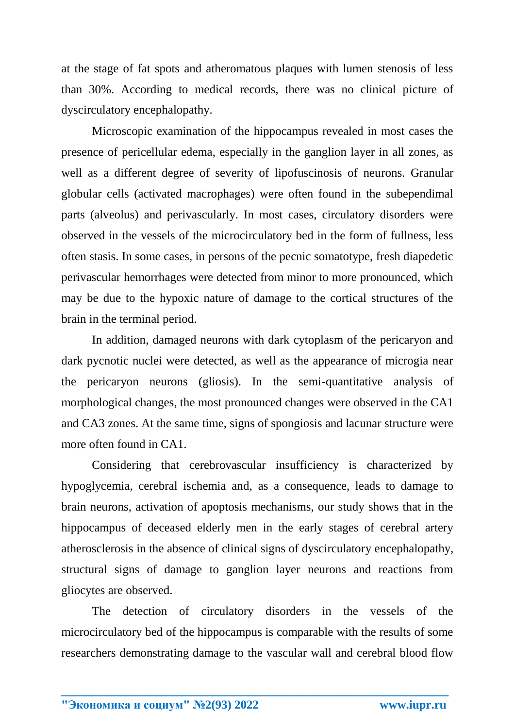at the stage of fat spots and atheromatous plaques with lumen stenosis of less than 30%. According to medical records, there was no clinical picture of dyscirculatory encephalopathy.

Microscopic examination of the hippocampus revealed in most cases the presence of pericellular edema, especially in the ganglion layer in all zones, as well as a different degree of severity of lipofuscinosis of neurons. Granular globular cells (activated macrophages) were often found in the subependimal parts (alveolus) and perivascularly. In most cases, circulatory disorders were observed in the vessels of the microcirculatory bed in the form of fullness, less often stasis. In some cases, in persons of the pecnic somatotype, fresh diapedetic perivascular hemorrhages were detected from minor to more pronounced, which may be due to the hypoxic nature of damage to the cortical structures of the brain in the terminal period.

In addition, damaged neurons with dark cytoplasm of the pericaryon and dark pycnotic nuclei were detected, as well as the appearance of microgia near the pericaryon neurons (gliosis). In the semi-quantitative analysis of morphological changes, the most pronounced changes were observed in the CA1 and CA3 zones. At the same time, signs of spongiosis and lacunar structure were more often found in CA1

Considering that cerebrovascular insufficiency is characterized by hypoglycemia, cerebral ischemia and, as a consequence, leads to damage to brain neurons, activation of apoptosis mechanisms, our study shows that in the hippocampus of deceased elderly men in the early stages of cerebral artery atherosclerosis in the absence of clinical signs of dyscirculatory encephalopathy, structural signs of damage to ganglion layer neurons and reactions from gliocytes are observed.

The detection of circulatory disorders in the vessels of the microcirculatory bed of the hippocampus is comparable with the results of some researchers demonstrating damage to the vascular wall and cerebral blood flow